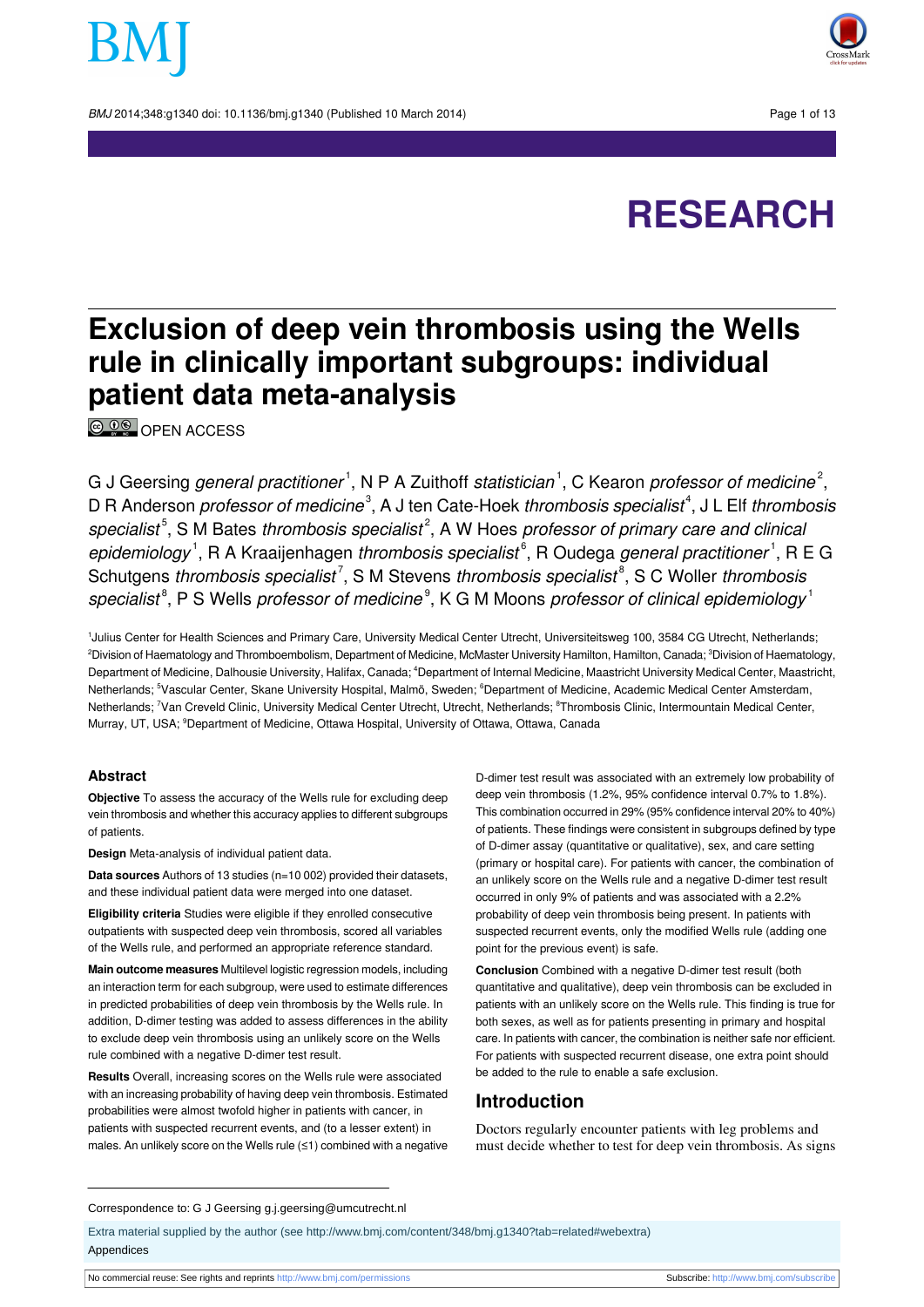BMJ 2014:348:g1340 doi: 10.1136/bmi.g1340 (Published 10 March 2014) Page 1 of 13



# **RESEARCH**

# **Exclusion of deep vein thrombosis using the Wells rule in clinically important subgroups: individual patient data meta-analysis**

**© 00** OPEN [ACCESS](http://creativecommons.org/licenses/by-nc/3.0/)

G J Geersing *general practitioner*  $^1$ , N P A Zuithoff *statistician*  $^1$ , C Kearon *professor of medicine*  $^2$ , D R Anderson *professor of medicine*<sup>3</sup>, A J ten Cate-Hoek *thrombosis specialist*<sup>4</sup>, J L Elf *thrombosis* specialist<sup>5</sup>, S M Bates thrombosis specialist<sup>2</sup>, A W Hoes professor of primary care and clinica epidemiology<sup>1</sup>, R A Kraaijenhagen thrombosis specialist<sup>6</sup>, R Oudega general practitioner<sup>1</sup>, R E G Schutgens *thrombosis specialist<sup>7</sup>*, S M Stevens *thrombosis specialist*<sup>8</sup>, S C Woller *thrombosis* specialist $^{\text{\tiny 8}}$ , P S Wells professor of medicine $^{\text{\tiny 9}}$ , K G M Moons professor of clinical epidemiology  $^{\text{\tiny 1}}$ 

1 Julius Center for Health Sciences and Primary Care, University Medical Center Utrecht, Universiteitsweg 100, 3584 CG Utrecht, Netherlands; <sup>2</sup>Division of Haematology and Thromboembolism, Department of Medicine, McMaster University Hamilton, Hamilton, Canada; <sup>3</sup>Division of Haematology, Department of Medicine, Dalhousie University, Halifax, Canada; <sup>4</sup>Department of Internal Medicine, Maastricht University Medical Center, Maastricht, Netherlands; <sup>5</sup>Vascular Center, Skane University Hospital, Malmö, Sweden; <sup>6</sup>Department of Medicine, Academic Medical Center Amsterdam, Netherlands; <sup>7</sup>Van Creveld Clinic, University Medical Center Utrecht, Utrecht, Netherlands; <sup>8</sup>Thrombosis Clinic, Intermountain Medical Center, Murray, UT, USA; <sup>9</sup>Department of Medicine, Ottawa Hospital, University of Ottawa, Ottawa, Canada

#### **Abstract**

**Objective** To assess the accuracy of the Wells rule for excluding deep vein thrombosis and whether this accuracy applies to different subgroups of patients.

**Design** Meta-analysis of individual patient data.

**Data sources** Authors of 13 studies (n=10 002) provided their datasets, and these individual patient data were merged into one dataset.

**Eligibility criteria** Studies were eligible if they enrolled consecutive outpatients with suspected deep vein thrombosis, scored all variables of the Wells rule, and performed an appropriate reference standard.

**Main outcome measures** Multilevel logistic regression models, including an interaction term for each subgroup, were used to estimate differences in predicted probabilities of deep vein thrombosis by the Wells rule. In addition, D-dimer testing was added to assess differences in the ability to exclude deep vein thrombosis using an unlikely score on the Wells rule combined with a negative D-dimer test result.

**Results** Overall, increasing scores on the Wells rule were associated with an increasing probability of having deep vein thrombosis. Estimated probabilities were almost twofold higher in patients with cancer, in patients with suspected recurrent events, and (to a lesser extent) in males. An unlikely score on the Wells rule (≤1) combined with a negative

D-dimer test result was associated with an extremely low probability of deep vein thrombosis (1.2%, 95% confidence interval 0.7% to 1.8%). This combination occurred in 29% (95% confidence interval 20% to 40%) of patients. These findings were consistent in subgroups defined by type of D-dimer assay (quantitative or qualitative), sex, and care setting (primary or hospital care). For patients with cancer, the combination of an unlikely score on the Wells rule and a negative D-dimer test result occurred in only 9% of patients and was associated with a 2.2% probability of deep vein thrombosis being present. In patients with suspected recurrent events, only the modified Wells rule (adding one point for the previous event) is safe.

**Conclusion** Combined with a negative D-dimer test result (both quantitative and qualitative), deep vein thrombosis can be excluded in patients with an unlikely score on the Wells rule. This finding is true for both sexes, as well as for patients presenting in primary and hospital care. In patients with cancer, the combination is neither safe nor efficient. For patients with suspected recurrent disease, one extra point should be added to the rule to enable a safe exclusion.

#### **Introduction**

Doctors regularly encounter patients with leg problems and must decide whether to test for deep vein thrombosis. As signs

#### Correspondence to: G J Geersing g.j.geersing@umcutrecht.nl

Extra material supplied by the author (see [http://www.bmj.com/content/348/bmj.g1340?tab=related#webextra\)](http://www.bmj.com/content/348/bmj.g1340?tab=related#webextra) Appendices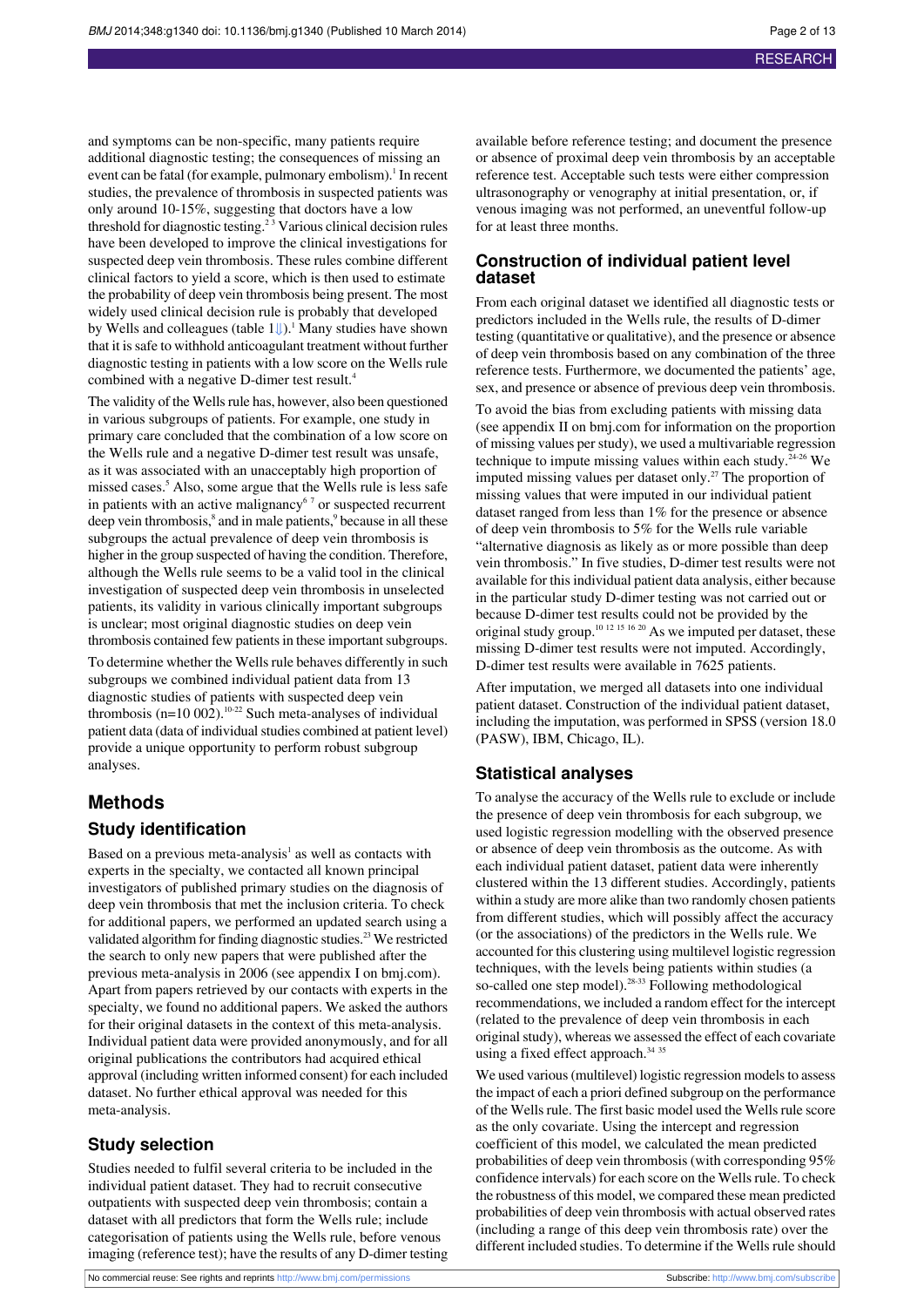and symptoms can be non-specific, many patients require additional diagnostic testing; the consequences of missing an event can be fatal (for example, pulmonary embolism).<sup>1</sup> In recent studies, the prevalence of thrombosis in suspected patients was only around 10-15%, suggesting that doctors have a low threshold for diagnostic testing.<sup>23</sup> Various clinical decision rules have been developed to improve the clinical investigations for suspected deep vein thrombosis. These rules combine different clinical factors to yield a score, which is then used to estimate the probability of deep vein thrombosis being present. The most widely used clinical decision rule is probably that developed by Wells and colleagues (table  $1 \cup$ ).<sup>1</sup> Many studies have shown that it is safe to withhold anticoagulant treatment without further diagnostic testing in patients with a low score on the Wells rule combined with a negative D-dimer test result.<sup>4</sup>

The validity of the Wells rule has, however, also been questioned in various subgroups of patients. For example, one study in primary care concluded that the combination of a low score on the Wells rule and a negative D-dimer test result was unsafe, as it was associated with an unacceptably high proportion of missed cases.<sup>5</sup> Also, some argue that the Wells rule is less safe in patients with an active malignancy<sup>67</sup> or suspected recurrent deep vein thrombosis,<sup>8</sup> and in male patients,<sup>9</sup> because in all these subgroups the actual prevalence of deep vein thrombosis is higher in the group suspected of having the condition. Therefore, although the Wells rule seems to be a valid tool in the clinical investigation of suspected deep vein thrombosis in unselected patients, its validity in various clinically important subgroups is unclear; most original diagnostic studies on deep vein thrombosis contained few patients in these important subgroups.

To determine whether the Wells rule behaves differently in such subgroups we combined individual patient data from 13 diagnostic studies of patients with suspected deep vein thrombosis (n=10 002).<sup>10-22</sup> Such meta-analyses of individual patient data (data of individual studies combined at patient level) provide a unique opportunity to perform robust subgroup analyses.

#### **Methods**

#### **Study identification**

Based on a previous meta-analysis<sup>1</sup> as well as contacts with experts in the specialty, we contacted all known principal investigators of published primary studies on the diagnosis of deep vein thrombosis that met the inclusion criteria. To check for additional papers, we performed an updated search using a validated algorithm for finding diagnostic studies.<sup>23</sup> We restricted the search to only new papers that were published after the previous meta-analysis in 2006 (see appendix I on bmj.com). Apart from papers retrieved by our contacts with experts in the specialty, we found no additional papers. We asked the authors for their original datasets in the context of this meta-analysis. Individual patient data were provided anonymously, and for all original publications the contributors had acquired ethical approval (including written informed consent) for each included dataset. No further ethical approval was needed for this meta-analysis.

#### **Study selection**

Studies needed to fulfil several criteria to be included in the individual patient dataset. They had to recruit consecutive outpatients with suspected deep vein thrombosis; contain a dataset with all predictors that form the Wells rule; include categorisation of patients using the Wells rule, before venous imaging (reference test); have the results of any D-dimer testing

available before reference testing; and document the presence or absence of proximal deep vein thrombosis by an acceptable reference test. Acceptable such tests were either compression ultrasonography or venography at initial presentation, or, if venous imaging was not performed, an uneventful follow-up for at least three months.

#### **Construction of individual patient level dataset**

From each original dataset we identified all diagnostic tests or predictors included in the Wells rule, the results of D-dimer testing (quantitative or qualitative), and the presence or absence of deep vein thrombosis based on any combination of the three reference tests. Furthermore, we documented the patients' age, sex, and presence or absence of previous deep vein thrombosis.

To avoid the bias from excluding patients with missing data (see appendix II on bmj.com for information on the proportion of missing values perstudy), we used a multivariable regression technique to impute missing values within each study.<sup>24-26</sup> We imputed missing values per dataset only.<sup>27</sup> The proportion of missing values that were imputed in our individual patient dataset ranged from less than 1% for the presence or absence of deep vein thrombosis to 5% for the Wells rule variable "alternative diagnosis as likely as or more possible than deep vein thrombosis." In five studies, D-dimer test results were not available for this individual patient data analysis, either because in the particular study D-dimer testing was not carried out or because D-dimer test results could not be provided by the original study group.<sup>10 12 15 16 20</sup> As we imputed per dataset, these missing D-dimer test results were not imputed. Accordingly, D-dimer test results were available in 7625 patients.

After imputation, we merged all datasets into one individual patient dataset. Construction of the individual patient dataset, including the imputation, was performed in SPSS (version 18.0 (PASW), IBM, Chicago, IL).

#### **Statistical analyses**

To analyse the accuracy of the Wells rule to exclude or include the presence of deep vein thrombosis for each subgroup, we used logistic regression modelling with the observed presence or absence of deep vein thrombosis as the outcome. As with each individual patient dataset, patient data were inherently clustered within the 13 different studies. Accordingly, patients within a study are more alike than two randomly chosen patients from different studies, which will possibly affect the accuracy (or the associations) of the predictors in the Wells rule. We accounted for this clustering using multilevel logistic regression techniques, with the levels being patients within studies (a so-called one step model).<sup>28-33</sup> Following methodological recommendations, we included a random effect for the intercept (related to the prevalence of deep vein thrombosis in each original study), whereas we assessed the effect of each covariate using a fixed effect approach.<sup>34 35</sup>

We used various (multilevel) logistic regression models to assess the impact of each a priori defined subgroup on the performance of the Wells rule. The first basic model used the Wells rule score as the only covariate. Using the intercept and regression coefficient of this model, we calculated the mean predicted probabilities of deep vein thrombosis (with corresponding 95% confidence intervals) for each score on the Wells rule. To check the robustness of this model, we compared these mean predicted probabilities of deep vein thrombosis with actual observed rates (including a range of this deep vein thrombosis rate) over the different included studies. To determine if the Wells rule should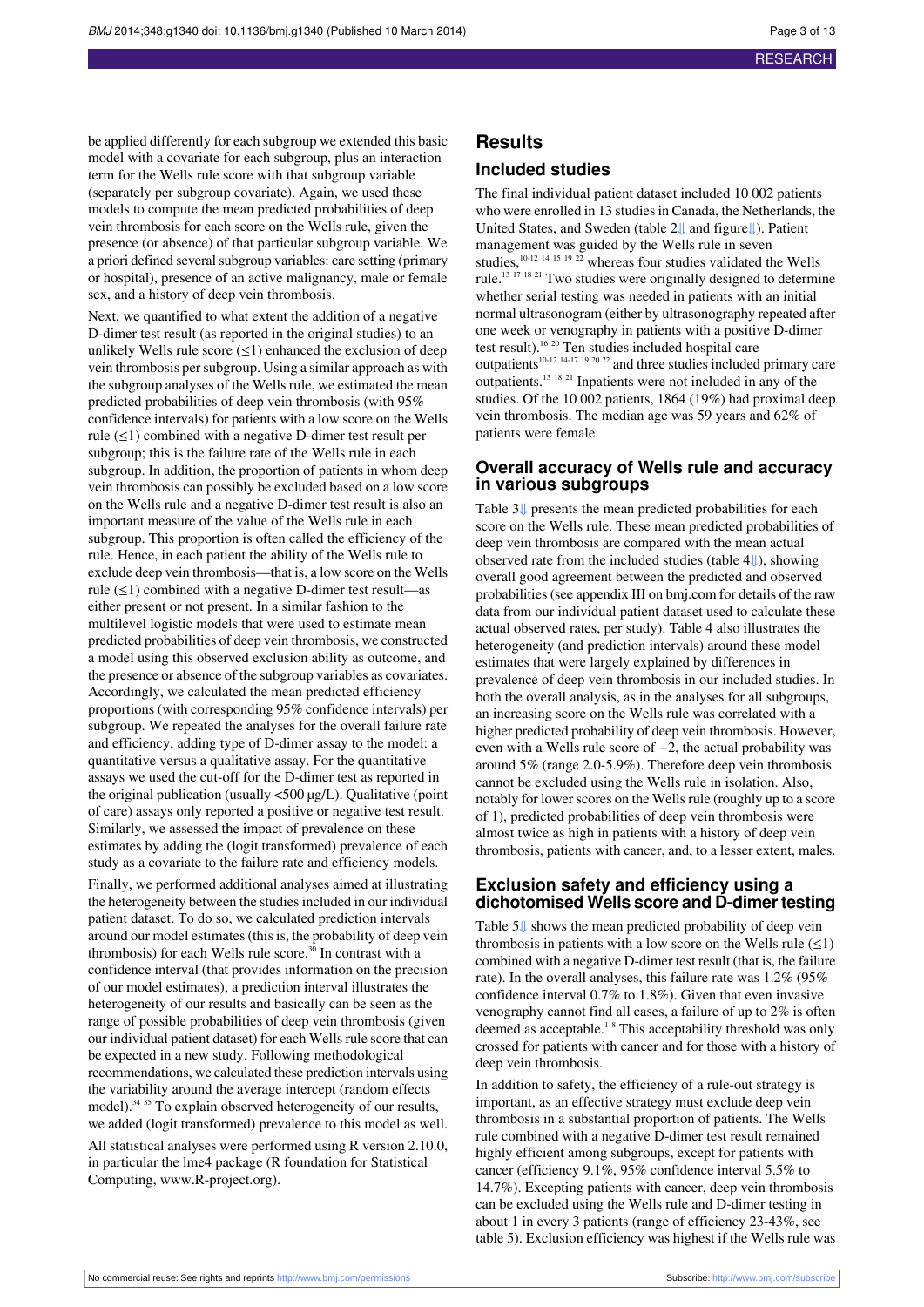be applied differently for each subgroup we extended this basic model with a covariate for each subgroup, plus an interaction term for the Wells rule score with that subgroup variable (separately per subgroup covariate). Again, we used these models to compute the mean predicted probabilities of deep vein thrombosis for each score on the Wells rule, given the presence (or absence) of that particular subgroup variable. We a priori defined several subgroup variables: care setting (primary or hospital), presence of an active malignancy, male or female sex, and a history of deep vein thrombosis.

Next, we quantified to what extent the addition of a negative D-dimer test result (as reported in the original studies) to an unlikely Wells rule score  $(\leq 1)$  enhanced the exclusion of deep vein thrombosis persubgroup. Using a similar approach as with the subgroup analyses of the Wells rule, we estimated the mean predicted probabilities of deep vein thrombosis (with 95% confidence intervals) for patients with a low score on the Wells rule (≤1) combined with a negative D-dimer test result per subgroup; this is the failure rate of the Wells rule in each subgroup. In addition, the proportion of patients in whom deep vein thrombosis can possibly be excluded based on a low score on the Wells rule and a negative D-dimer test result is also an important measure of the value of the Wells rule in each subgroup. This proportion is often called the efficiency of the rule. Hence, in each patient the ability of the Wells rule to exclude deep vein thrombosis—that is, a low score on the Wells rule (≤1) combined with a negative D-dimer test result—as either present or not present. In a similar fashion to the multilevel logistic models that were used to estimate mean predicted probabilities of deep vein thrombosis, we constructed a model using this observed exclusion ability as outcome, and the presence or absence of the subgroup variables as covariates. Accordingly, we calculated the mean predicted efficiency proportions (with corresponding 95% confidence intervals) per subgroup. We repeated the analyses for the overall failure rate and efficiency, adding type of D-dimer assay to the model: a quantitative versus a qualitative assay. For the quantitative assays we used the cut-off for the D-dimer test as reported in the original publication (usually <500 µg/L). Qualitative (point of care) assays only reported a positive or negative test result. Similarly, we assessed the impact of prevalence on these estimates by adding the (logit transformed) prevalence of each study as a covariate to the failure rate and efficiency models.

Finally, we performed additional analyses aimed at illustrating the heterogeneity between the studies included in our individual patient dataset. To do so, we calculated prediction intervals around our model estimates (this is, the probability of deep vein thrombosis) for each Wells rule score.<sup>30</sup> In contrast with a confidence interval (that provides information on the precision of our model estimates), a prediction interval illustrates the heterogeneity of our results and basically can be seen as the range of possible probabilities of deep vein thrombosis (given our individual patient dataset) for each Wells rule score that can be expected in a new study. Following methodological recommendations, we calculated these prediction intervals using the variability around the average intercept (random effects model).<sup>34 35</sup> To explain observed heterogeneity of our results, we added (logit transformed) prevalence to this model as well. All statistical analyses were performed using R version 2.10.0, in particular the lme4 package (R foundation for Statistical Computing, [www.R-project.org\)](http://www.R-project.org/).

#### **Results**

#### **Included studies**

The final individual patient dataset included 10 002 patients who were enrolled in 13 studies in Canada, the Netherlands, the United States, and Sweden (table 2[⇓](#page-7-0) and figur[e⇓](#page-12-0)). Patient management was guided by the Wells rule in seven studies,  $^{10-12}$  14 15 19 22 whereas four studies validated the Wells rule.<sup>13 17</sup> <sup>18 21</sup> Two studies were originally designed to determine whether serial testing was needed in patients with an initial normal ultrasonogram (either by ultrasonography repeated after one week or venography in patients with a positive D-dimer test result).<sup>16 20</sup> Ten studies included hospital care outpatients<sup>10-12 14-17 19 20 22</sup> and three studies included primary care outpatients.<sup>13</sup> <sup>18</sup> <sup>21</sup> Inpatients were not included in any of the studies. Of the 10 002 patients, 1864 (19%) had proximal deep vein thrombosis. The median age was 59 years and 62% of patients were female.

#### **Overall accuracy of Wells rule and accuracy in various subgroups**

Table 3[⇓](#page-8-0) presents the mean predicted probabilities for each score on the Wells rule. These mean predicted probabilities of deep vein thrombosis are compared with the mean actual observed rate from the included studies (table 4[⇓\)](#page-9-0), showing overall good agreement between the predicted and observed probabilities (see appendix III on bmj.com for details of the raw data from our individual patient dataset used to calculate these actual observed rates, per study). Table 4 also illustrates the heterogeneity (and prediction intervals) around these model estimates that were largely explained by differences in prevalence of deep vein thrombosis in our included studies. In both the overall analysis, as in the analyses for all subgroups, an increasing score on the Wells rule was correlated with a higher predicted probability of deep vein thrombosis. However, even with a Wells rule score of −2, the actual probability was around 5% (range 2.0-5.9%). Therefore deep vein thrombosis cannot be excluded using the Wells rule in isolation. Also, notably for lower scores on the Wells rule (roughly up to a score of 1), predicted probabilities of deep vein thrombosis were almost twice as high in patients with a history of deep vein thrombosis, patients with cancer, and, to a lesser extent, males.

#### **Exclusion safety and efficiency using a dichotomised Wells score and D-dimertesting**

Table 5[⇓](#page-10-0) shows the mean predicted probability of deep vein thrombosis in patients with a low score on the Wells rule  $(\leq 1)$ combined with a negative D-dimer test result (that is, the failure rate). In the overall analyses, this failure rate was 1.2% (95% confidence interval 0.7% to 1.8%). Given that even invasive venography cannot find all cases, a failure of up to 2% is often deemed as acceptable.<sup>18</sup> This acceptability threshold was only crossed for patients with cancer and for those with a history of deep vein thrombosis.

In addition to safety, the efficiency of a rule-out strategy is important, as an effective strategy must exclude deep vein thrombosis in a substantial proportion of patients. The Wells rule combined with a negative D-dimer test result remained highly efficient among subgroups, except for patients with cancer (efficiency 9.1%, 95% confidence interval 5.5% to 14.7%). Excepting patients with cancer, deep vein thrombosis can be excluded using the Wells rule and D-dimer testing in about 1 in every 3 patients (range of efficiency 23-43%, see table 5). Exclusion efficiency was highest if the Wells rule was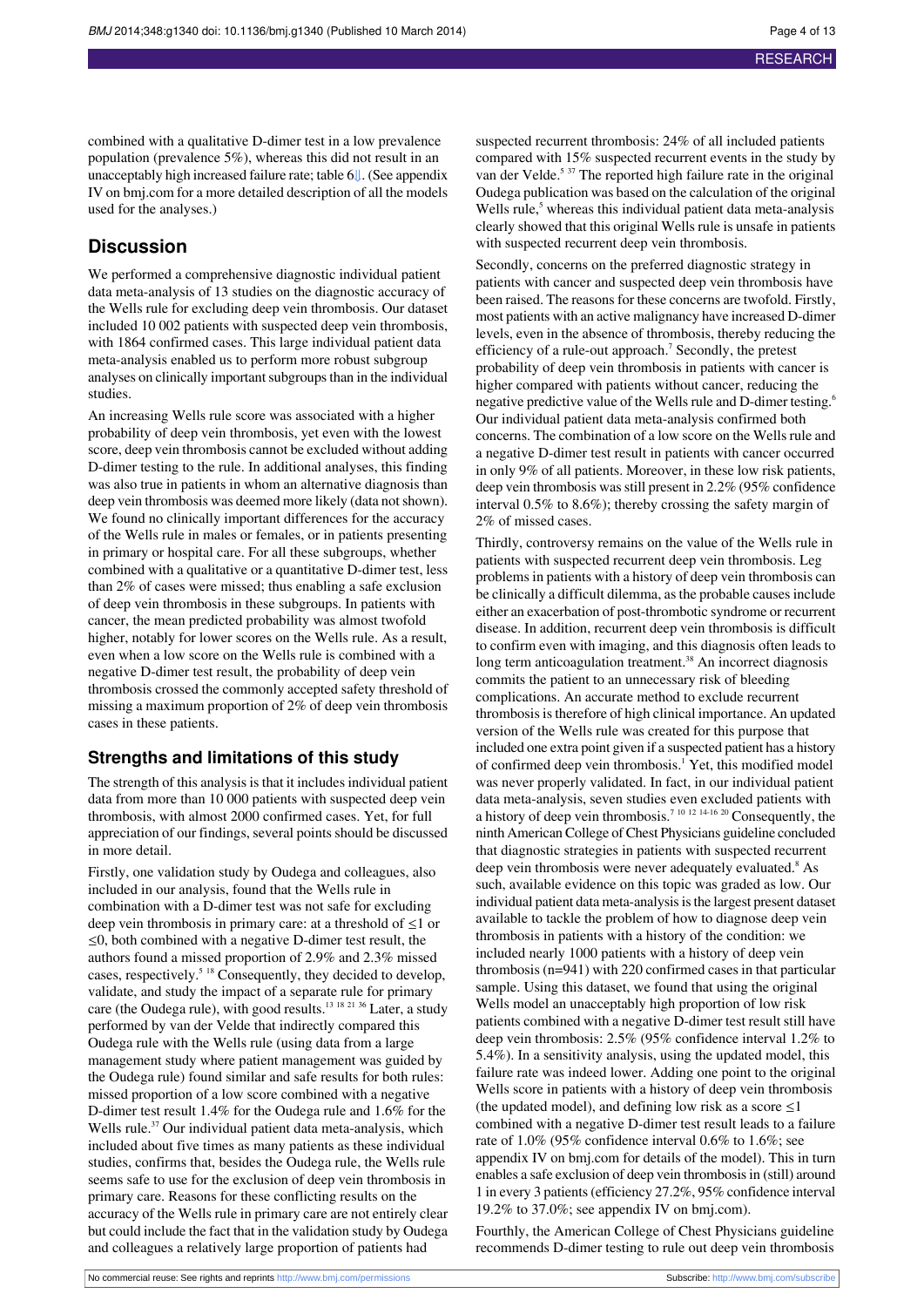combined with a qualitative D-dimer test in a low prevalence population (prevalence 5%), whereas this did not result in an unacceptably high increased failure rate; table [6⇓](#page-11-0). (See appendix IV on bmj.com for a more detailed description of all the models used for the analyses.)

#### **Discussion**

We performed a comprehensive diagnostic individual patient data meta-analysis of 13 studies on the diagnostic accuracy of the Wells rule for excluding deep vein thrombosis. Our dataset included 10 002 patients with suspected deep vein thrombosis, with 1864 confirmed cases. This large individual patient data meta-analysis enabled us to perform more robust subgroup analyses on clinically important subgroups than in the individual studies.

An increasing Wells rule score was associated with a higher probability of deep vein thrombosis, yet even with the lowest score, deep vein thrombosis cannot be excluded without adding D-dimer testing to the rule. In additional analyses, this finding was also true in patients in whom an alternative diagnosis than deep vein thrombosis was deemed more likely (data not shown). We found no clinically important differences for the accuracy of the Wells rule in males or females, or in patients presenting in primary or hospital care. For all these subgroups, whether combined with a qualitative or a quantitative D-dimer test, less than 2% of cases were missed; thus enabling a safe exclusion of deep vein thrombosis in these subgroups. In patients with cancer, the mean predicted probability was almost twofold higher, notably for lower scores on the Wells rule. As a result, even when a low score on the Wells rule is combined with a negative D-dimer test result, the probability of deep vein thrombosis crossed the commonly accepted safety threshold of missing a maximum proportion of 2% of deep vein thrombosis cases in these patients.

#### **Strengths and limitations of this study**

The strength of this analysis is that it includes individual patient data from more than 10 000 patients with suspected deep vein thrombosis, with almost 2000 confirmed cases. Yet, for full appreciation of our findings, several points should be discussed in more detail.

Firstly, one validation study by Oudega and colleagues, also included in our analysis, found that the Wells rule in combination with a D-dimer test was not safe for excluding deep vein thrombosis in primary care: at a threshold of ≤1 or ≤0, both combined with a negative D-dimer test result, the authors found a missed proportion of 2.9% and 2.3% missed cases, respectively.<sup>5</sup> <sup>18</sup> Consequently, they decided to develop, validate, and study the impact of a separate rule for primary care (the Oudega rule), with good results.<sup>13 18 21 36</sup> Later, a study performed by van der Velde that indirectly compared this Oudega rule with the Wells rule (using data from a large management study where patient management was guided by the Oudega rule) found similar and safe results for both rules: missed proportion of a low score combined with a negative D-dimer test result 1.4% for the Oudega rule and 1.6% for the Wells rule.<sup>37</sup> Our individual patient data meta-analysis, which included about five times as many patients as these individual studies, confirms that, besides the Oudega rule, the Wells rule seems safe to use for the exclusion of deep vein thrombosis in primary care. Reasons for these conflicting results on the accuracy of the Wells rule in primary care are not entirely clear but could include the fact that in the validation study by Oudega and colleagues a relatively large proportion of patients had

suspected recurrent thrombosis: 24% of all included patients compared with 15% suspected recurrent events in the study by van der Velde.<sup>5 37</sup> The reported high failure rate in the original Oudega publication was based on the calculation of the original Wells rule, $<sup>5</sup>$  whereas this individual patient data meta-analysis</sup> clearly showed that this original Wells rule is unsafe in patients with suspected recurrent deep vein thrombosis.

Secondly, concerns on the preferred diagnostic strategy in patients with cancer and suspected deep vein thrombosis have been raised. The reasons for these concerns are twofold. Firstly, most patients with an active malignancy have increased D-dimer levels, even in the absence of thrombosis, thereby reducing the efficiency of a rule-out approach.<sup>7</sup> Secondly, the pretest probability of deep vein thrombosis in patients with cancer is higher compared with patients without cancer, reducing the negative predictive value of the Wells rule and D-dimer testing.<sup>6</sup> Our individual patient data meta-analysis confirmed both concerns. The combination of a low score on the Wells rule and a negative D-dimer test result in patients with cancer occurred in only 9% of all patients. Moreover, in these low risk patients, deep vein thrombosis wasstill present in 2.2% (95% confidence interval 0.5% to 8.6%); thereby crossing the safety margin of 2% of missed cases.

Thirdly, controversy remains on the value of the Wells rule in patients with suspected recurrent deep vein thrombosis. Leg problems in patients with a history of deep vein thrombosis can be clinically a difficult dilemma, as the probable causes include either an exacerbation of post-thrombotic syndrome or recurrent disease. In addition, recurrent deep vein thrombosis is difficult to confirm even with imaging, and this diagnosis often leads to long term anticoagulation treatment.<sup>38</sup> An incorrect diagnosis commits the patient to an unnecessary risk of bleeding complications. An accurate method to exclude recurrent thrombosis is therefore of high clinical importance. An updated version of the Wells rule was created for this purpose that included one extra point given if a suspected patient has a history of confirmed deep vein thrombosis.<sup>1</sup> Yet, this modified model was never properly validated. In fact, in our individual patient data meta-analysis, seven studies even excluded patients with a history of deep vein thrombosis.<sup>7</sup> <sup>10</sup> <sup>12</sup> 14-16 <sup>20</sup> Consequently, the ninth American College of Chest Physicians guideline concluded that diagnostic strategies in patients with suspected recurrent deep vein thrombosis were never adequately evaluated.<sup>8</sup> As such, available evidence on this topic was graded as low. Our individual patient data meta-analysis is the largest present dataset available to tackle the problem of how to diagnose deep vein thrombosis in patients with a history of the condition: we included nearly 1000 patients with a history of deep vein thrombosis (n=941) with 220 confirmed cases in that particular sample. Using this dataset, we found that using the original Wells model an unacceptably high proportion of low risk patients combined with a negative D-dimer test result still have deep vein thrombosis: 2.5% (95% confidence interval 1.2% to 5.4%). In a sensitivity analysis, using the updated model, this failure rate was indeed lower. Adding one point to the original Wells score in patients with a history of deep vein thrombosis (the updated model), and defining low risk as a score  $\leq 1$ combined with a negative D-dimer test result leads to a failure rate of 1.0% (95% confidence interval 0.6% to 1.6%; see appendix IV on bmj.com for details of the model). This in turn enables a safe exclusion of deep vein thrombosisin (still) around 1 in every 3 patients(efficiency 27.2%, 95% confidence interval 19.2% to 37.0%; see appendix IV on bmj.com).

Fourthly, the American College of Chest Physicians guideline recommends D-dimer testing to rule out deep vein thrombosis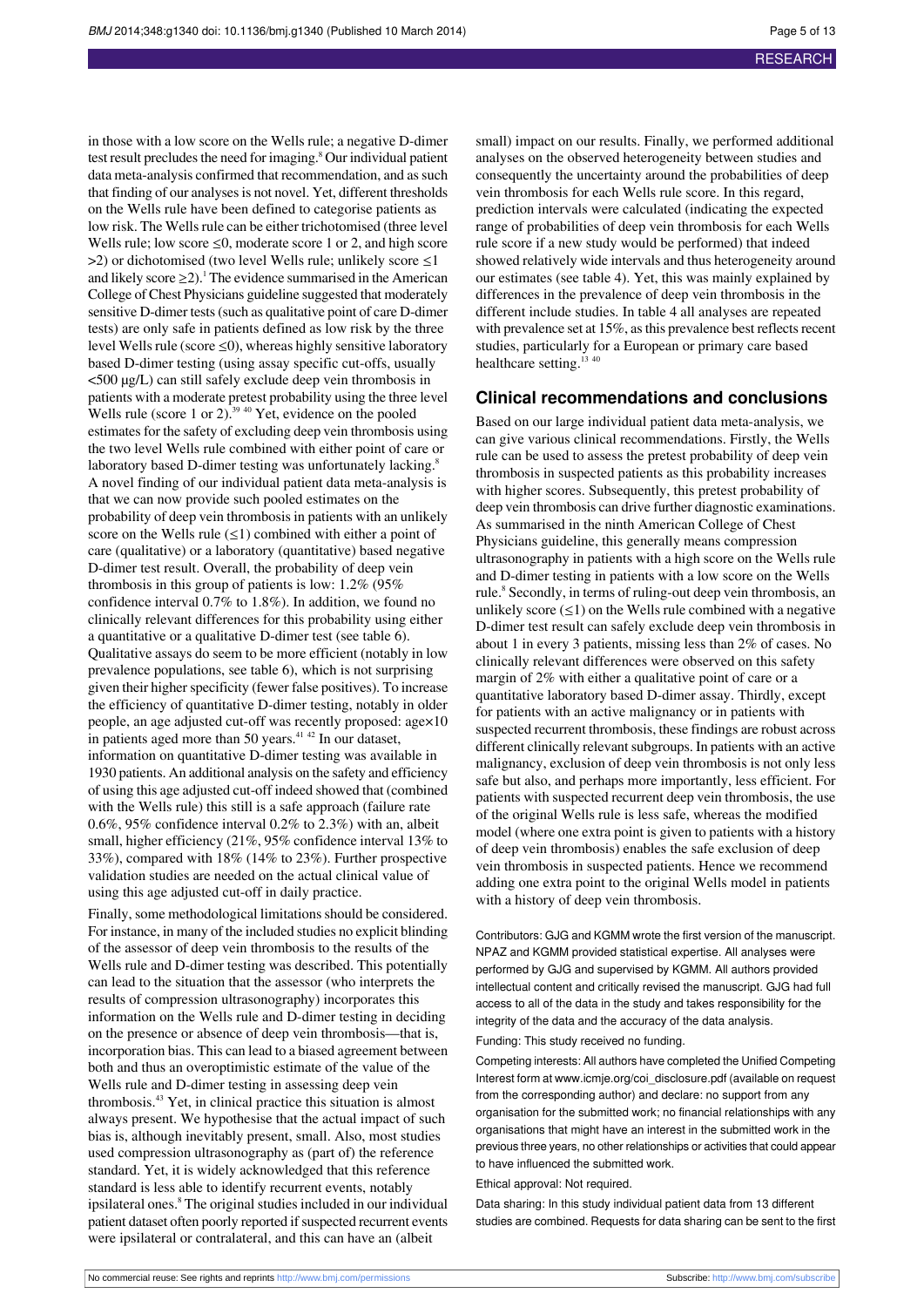in those with a low score on the Wells rule; a negative D-dimer test result precludes the need for imaging.<sup>8</sup> Our individual patient data meta-analysis confirmed that recommendation, and as such that finding of our analyses is not novel. Yet, different thresholds on the Wells rule have been defined to categorise patients as low risk. The Wells rule can be either trichotomised (three level Wells rule; low score  $\leq 0$ , moderate score 1 or 2, and high score  $>$ 2) or dichotomised (two level Wells rule; unlikely score  $\leq$ 1 and likely score  $\geq$ 2).<sup>1</sup> The evidence summarised in the American College of Chest Physicians guideline suggested that moderately sensitive D-dimer tests(such as qualitative point of care D-dimer tests) are only safe in patients defined as low risk by the three level Wells rule (score  $\leq$ 0), whereas highly sensitive laboratory based D-dimer testing (using assay specific cut-offs, usually <500 µg/L) can still safely exclude deep vein thrombosis in patients with a moderate pretest probability using the three level Wells rule (score 1 or 2). $^{39\,40}$  Yet, evidence on the pooled estimates for the safety of excluding deep vein thrombosis using the two level Wells rule combined with either point of care or laboratory based D-dimer testing was unfortunately lacking.<sup>8</sup> A novel finding of our individual patient data meta-analysis is that we can now provide such pooled estimates on the probability of deep vein thrombosis in patients with an unlikely score on the Wells rule  $(\leq 1)$  combined with either a point of care (qualitative) or a laboratory (quantitative) based negative D-dimer test result. Overall, the probability of deep vein thrombosis in this group of patients is low: 1.2% (95% confidence interval 0.7% to 1.8%). In addition, we found no clinically relevant differences for this probability using either a quantitative or a qualitative D-dimer test (see table 6). Qualitative assays do seem to be more efficient (notably in low prevalence populations, see table 6), which is not surprising given their higher specificity (fewer false positives). To increase the efficiency of quantitative D-dimer testing, notably in older people, an age adjusted cut-off was recently proposed: age×10 in patients aged more than 50 years. $4142$  In our dataset, information on quantitative D-dimer testing was available in 1930 patients. An additional analysis on the safety and efficiency of using this age adjusted cut-off indeed showed that (combined with the Wells rule) this still is a safe approach (failure rate 0.6%, 95% confidence interval 0.2% to 2.3%) with an, albeit small, higher efficiency (21%, 95% confidence interval 13% to 33%), compared with 18% (14% to 23%). Further prospective validation studies are needed on the actual clinical value of using this age adjusted cut-off in daily practice.

Finally, some methodological limitations should be considered. For instance, in many of the included studies no explicit blinding of the assessor of deep vein thrombosis to the results of the Wells rule and D-dimer testing was described. This potentially can lead to the situation that the assessor (who interprets the results of compression ultrasonography) incorporates this information on the Wells rule and D-dimer testing in deciding on the presence or absence of deep vein thrombosis—that is, incorporation bias. This can lead to a biased agreement between both and thus an overoptimistic estimate of the value of the Wells rule and D-dimer testing in assessing deep vein thrombosis.<sup>43</sup> Yet, in clinical practice this situation is almost always present. We hypothesise that the actual impact of such bias is, although inevitably present, small. Also, most studies used compression ultrasonography as (part of) the reference standard. Yet, it is widely acknowledged that this reference standard is less able to identify recurrent events, notably ipsilateral ones.<sup>8</sup> The original studies included in our individual patient dataset often poorly reported if suspected recurrent events were ipsilateral or contralateral, and this can have an (albeit

small) impact on our results. Finally, we performed additional analyses on the observed heterogeneity between studies and consequently the uncertainty around the probabilities of deep vein thrombosis for each Wells rule score. In this regard, prediction intervals were calculated (indicating the expected range of probabilities of deep vein thrombosis for each Wells rule score if a new study would be performed) that indeed showed relatively wide intervals and thus heterogeneity around our estimates (see table 4). Yet, this was mainly explained by differences in the prevalence of deep vein thrombosis in the different include studies. In table 4 all analyses are repeated with prevalence set at  $15\%$ , as this prevalence best reflects recent studies, particularly for a European or primary care based healthcare setting.<sup>13 40</sup>

#### **Clinical recommendations and conclusions**

Based on our large individual patient data meta-analysis, we can give various clinical recommendations. Firstly, the Wells rule can be used to assess the pretest probability of deep vein thrombosis in suspected patients as this probability increases with higher scores. Subsequently, this pretest probability of deep vein thrombosis can drive further diagnostic examinations. As summarised in the ninth American College of Chest Physicians guideline, this generally means compression ultrasonography in patients with a high score on the Wells rule and D-dimer testing in patients with a low score on the Wells rule.<sup>8</sup> Secondly, in terms of ruling-out deep vein thrombosis, an unlikely score  $(\leq 1)$  on the Wells rule combined with a negative D-dimer test result can safely exclude deep vein thrombosis in about 1 in every 3 patients, missing less than 2% of cases. No clinically relevant differences were observed on this safety margin of 2% with either a qualitative point of care or a quantitative laboratory based D-dimer assay. Thirdly, except for patients with an active malignancy or in patients with suspected recurrent thrombosis, these findings are robust across different clinically relevant subgroups. In patients with an active malignancy, exclusion of deep vein thrombosis is not only less safe but also, and perhaps more importantly, less efficient. For patients with suspected recurrent deep vein thrombosis, the use of the original Wells rule is less safe, whereas the modified model (where one extra point is given to patients with a history of deep vein thrombosis) enables the safe exclusion of deep vein thrombosis in suspected patients. Hence we recommend adding one extra point to the original Wells model in patients with a history of deep vein thrombosis.

Contributors: GJG and KGMM wrote the first version of the manuscript. NPAZ and KGMM provided statistical expertise. All analyses were performed by GJG and supervised by KGMM. All authors provided intellectual content and critically revised the manuscript. GJG had full access to all of the data in the study and takes responsibility for the integrity of the data and the accuracy of the data analysis.

Funding: This study received no funding.

Competing interests: All authors have completed the Unified Competing Interest form at [www.icmje.org/coi\\_disclosure.pdf](http://www.icmje.org/coi_disclosure.pdf) (available on request from the corresponding author) and declare: no support from any organisation for the submitted work; no financial relationships with any organisations that might have an interest in the submitted work in the previous three years, no other relationships or activities that could appear to have influenced the submitted work.

#### Ethical approval: Not required.

Data sharing: In this study individual patient data from 13 different studies are combined. Requests for data sharing can be sent to the first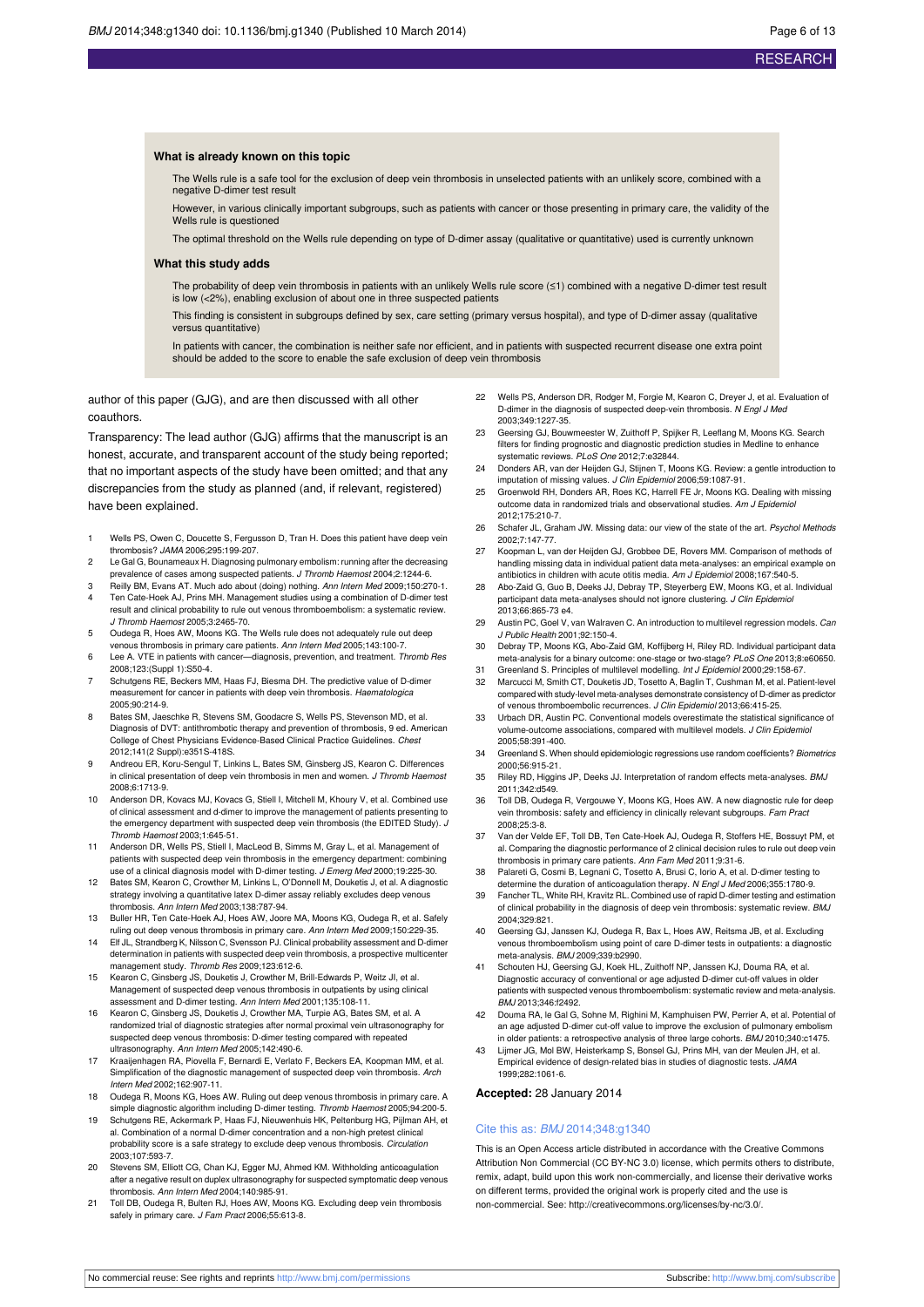#### **What is already known on this topic**

The Wells rule is a safe tool for the exclusion of deep vein thrombosis in unselected patients with an unlikely score, combined with a negative D-dimer test result

However, in various clinically important subgroups, such as patients with cancer or those presenting in primary care, the validity of the Wells rule is questioned

The optimal threshold on the Wells rule depending on type of D-dimer assay (qualitative or quantitative) used is currently unknown

#### **What this study adds**

The probability of deep vein thrombosis in patients with an unlikely Wells rule score (≤1) combined with a negative D-dimer test result is low (<2%), enabling exclusion of about one in three suspected patients

This finding is consistent in subgroups defined by sex, care setting (primary versus hospital), and type of D-dimer assay (qualitative versus quantitative)

In patients with cancer, the combination is neither safe nor efficient, and in patients with suspected recurrent disease one extra point should be added to the score to enable the safe exclusion of deep vein thrombosis

author of this paper (GJG), and are then discussed with all other coauthors.

Transparency: The lead author (GJG) affirms that the manuscript is an honest, accurate, and transparent account of the study being reported; that no important aspects of the study have been omitted; and that any discrepancies from the study as planned (and, if relevant, registered) have been explained.

- 1 Wells PS, Owen C, Doucette S, Fergusson D, Tran H. Does this patient have deep vein thrombosis? JAMA 2006;295:199-207.
- Le Gal G, Bounameaux H. Diagnosing pulmonary embolism: running after the decreasing prevalence of cases among suspected patients. J Thromb Haemost 2004;2:1244-6.
- 3 Reilly BM, Evans AT. Much ado about (doing) nothing. Ann Intern Med 2009;150:270-1. 4 Ten Cate-Hoek AJ, Prins MH. Management studies using a combination of D-dimer test result and clinical probability to rule out venous thromboembolism: a systematic review.
- J Thromb Haemost 2005;3:2465-70. 5 Oudega R, Hoes AW, Moons KG. The Wells rule does not adequately rule out deep venous thrombosis in primary care patients. Ann Intern Med 2005;143:100-7.
- 6 Lee A. VTE in patients with cancer—diagnosis, prevention, and treatment. Thromb Res 2008;123:(Suppl 1):S50-4.
- 7 Schutgens RE, Beckers MM, Haas FJ, Biesma DH. The predictive value of D-dimer measurement for cancer in patients with deep vein thrombosis. Haematologica 2005;90:214-9.
- 8 Bates SM, Jaeschke R, Stevens SM, Goodacre S, Wells PS, Stevenson MD, et al. Diagnosis of DVT: antithrombotic therapy and prevention of thrombosis, 9 ed. American College of Chest Physicians Evidence-Based Clinical Practice Guidelines. Chest 2012;141(2 Suppl):e351S-418S.
- 9 Andreou ER, Koru-Sengul T, Linkins L, Bates SM, Ginsberg JS, Kearon C. Differences in clinical presentation of deep vein thrombosis in men and women. J Thromb Haemost 2008;6:1713-9.
- 10 Anderson DR, Kovacs MJ, Kovacs G, Stiell I, Mitchell M, Khoury V, et al. Combined use of clinical assessment and d-dimer to improve the management of patients presenting to the emergency department with suspected deep vein thrombosis (the EDITED Study). J Thromb Haemost 2003;1:645-51.
- 11 Anderson DR, Wells PS, Stiell I, MacLeod B, Simms M, Gray L, et al. Management of patients with suspected deep vein thrombosis in the emergency department: combining .<br>use of a clinical diagnosis model with D-dimer testing. J Emerg Med 2000;19:225-30.
- 12 Bates SM, Kearon C, Crowther M, Linkins L, O'Donnell M, Douketis J, et al. A diagnostic strategy involving a quantitative latex D-dimer assay reliably excludes deep venous thrombosis. Ann Intern Med 2003;138:787-94.
- 13 Buller HR, Ten Cate-Hoek AJ, Hoes AW, Joore MA, Moons KG, Oudega R, et al. Safely ruling out deep venous thrombosis in primary care. Ann Intern Med 2009;150:229-35.
- 14 Elf JL, Strandberg K, Nilsson C, Svensson PJ. Clinical probability assessment and D-dimer determination in patients with suspected deep vein thrombosis, a prospective multicenter nanagement study. Thromb Res 2009;123:612-6.
- 15 Kearon C, Ginsberg JS, Douketis J, Crowther M, Brill-Edwards P, Weitz JI, et al. Management of suspected deep venous thrombosis in outpatients by using clinical assessment and D-dimer testing. Ann Intern Med 2001;135:108-11.
- 16 Kearon C, Ginsberg JS, Douketis J, Crowther MA, Turpie AG, Bates SM, et al. A randomized trial of diagnostic strategies after normal proximal vein ultrasonography for suspected deep venous thrombosis: D-dimer testing compared with repeated ultrasonography. Ann Intern Med 2005;142:490-6.
- 17 Kraaijenhagen RA, Piovella F, Bernardi E, Verlato F, Beckers EA, Koopman MM, et al. Simplification of the diagnostic management of suspected deep vein thrombosis. Arch Intern Med 2002;162:907-11.
- 18 Oudega R, Moons KG, Hoes AW. Ruling out deep venous thrombosis in primary care. A simple diagnostic algorithm including D-dimer testing. Thromb Haemost 2005;94:200-5. 19 Schutgens RE, Ackermark P, Haas FJ, Nieuwenhuis HK, Peltenburg HG, Pijlman AH, et
- al. Combination of a normal D-dimer concentration and a non-high pretest clinical probability score is a safe strategy to exclude deep venous thrombosis. Circulation 2003;107:593-7.
- 20 Stevens SM, Elliott CG, Chan KJ, Egger MJ, Ahmed KM. Withholding anticoagulation after a negative result on duplex ultrasonography for suspected symptomatic deep venous thrombosis. Ann Intern Med 2004;140:985-91.
- 21 Toll DB, Oudega R, Bulten RJ, Hoes AW, Moons KG. Excluding deep vein thrombosis safely in primary care. J Fam Pract 2006;55:613-8.
- 22 Wells PS, Anderson DR, Rodger M, Forgie M, Kearon C, Dreyer J, et al. Evaluation of D-dimer in the diagnosis of suspected deep-vein thrombosis. N Engl J Med 2003;349:1227-35.
- 23 Geersing GJ, Bouwmeester W, Zuithoff P, Spijker R, Leeflang M, Moons KG. Search filters for finding prognostic and diagnostic prediction studies in Medline to enhance systematic reviews. PLoS One 2012;7:e32844.
- 24 Donders AR, van der Heijden GJ, Stijnen T, Moons KG. Review: a gentle introduction to imputation of missing values. J Clin Epidemiol 2006;59:1087-91.
- 25 Groenwold RH, Donders AR, Roes KC, Harrell FE Jr, Moons KG. Dealing with missing outcome data in randomized trials and observational studies. Am J Epide 2012;175:210-7.
- 26 Schafer JL, Graham JW. Missing data: our view of the state of the art. Psychol Methods 2002;7:147-77.
- 27 Koopman L, van der Heijden GJ, Grobbee DE, Rovers MM. Comparison of methods of handling missing data in individual patient data meta-analyses: an empirical example on antibiotics in children with acute otitis media. Am J Epidemiol 2008;167:540-5.
- 28 Abo-Zaid G, Guo B, Deeks JJ, Debray TP, Steyerberg EW, Moons KG, et al. Individual participant data meta-analyses should not ignore clustering. J Clin Epidemiol 2013;66:865-73 e4.
- Austin PC, Goel V, van Walraven C. An introduction to multilevel regression models. Can J Public Health 2001;92:150-4.
- 30 Debray TP, Moons KG, Abo-Zaid GM, Koffijberg H, Riley RD. Individual participant data meta-analysis for a binary outcome: one-stage or two-stage? PLoS One 2013;8:e60650. Greenland S. Principles of multilevel modelling. Int J Epidemiol 2000;29:158-67.
- 32 Marcucci M, Smith CT, Douketis JD, Tosetto A, Baglin T, Cushman M, et al. Patient-level compared with study-level meta-analyses demonstrate consistency of D-dimer as predictor of venous thromboembolic recurrences. J Clin Epidemiol 2013;66:415-25.
- 33 Urbach DR, Austin PC. Conventional models overestimate the statistical significance of volume-outcome associations, compared with multilevel models. J Clin Epidemiol 2005;58:391-400.
- 34 Greenland S. When should epidemiologic regressions use random coefficients? Biometrics 2000;56:915-21.
- 35 Riley RD, Higgins JP, Deeks JJ. Interpretation of random effects meta-analyses. BMJ 2011;342:d549.
- 36 Toll DB, Oudega R, Vergouwe Y, Moons KG, Hoes AW. A new diagnostic rule for deep vein thrombosis: safety and efficiency in clinically relevant subgroups. Fam Pract 2008;25:3-8.
- 37 Van der Velde EF, Toll DB, Ten Cate-Hoek AJ, Oudega R, Stoffers HE, Bossuyt PM, et al. Comparing the diagnostic performance of 2 clinical decision rules to rule out deep vein thrombosis in primary care patients. Ann Fam Med 2011;9:31-6.
- 38 Palareti G, Cosmi B, Legnani C, Tosetto A, Brusi C, Iorio A, et al. D-dimer testing to determine the duration of anticoagulation therapy. N Engl J Med 2006;355:1780-9.
- 39 Fancher TL, White RH, Kravitz RL. Combined use of rapid D-dimer testing and estimation of clinical probability in the diagnosis of deep vein thrombosis: systematic review. BMJ 2004;329:821.
- 40 Geersing GJ, Janssen KJ, Oudega R, Bax L, Hoes AW, Reitsma JB, et al. Excluding venous thromboembolism using point of care D-dimer tests in outpatients: a diagnostic meta-analysis. BMJ 2009;339:b2990.
- Schouten HJ, Geersing GJ, Koek HL, Zuithoff NP, Janssen KJ, Douma RA, et al. Diagnostic accuracy of conventional or age adjusted D-dimer cut-off values in older patients with suspected venous thromboembolism: systematic review and meta-analysis. .<br>BMJ 2013:346:f2492.
- Douma RA, le Gal G, Sohne M, Righini M, Kamphuisen PW, Perrier A, et al. Potential of an age adjusted D-dimer cut-off value to improve the exclusion of pulmonary embolism in older patients: a retrospective analysis of three large cohorts. BMJ 2010;340:c1475.
- 43 Lijmer JG, Mol BW, Heisterkamp S, Bonsel GJ, Prins MH, van der Meulen JH, et al. Empirical evidence of design-related bias in studies of diagnostic tests. JAMA 1999;282:1061-6.

**Accepted:** 28 January 2014

#### Cite this as: BMJ 2014;348:g1340

This is an Open Access article distributed in accordance with the Creative Commons Attribution Non Commercial (CC BY-NC 3.0) license, which permits others to distribute, remix, adapt, build upon this work non-commercially, and license their derivative works on different terms, provided the original work is properly cited and the use is non-commercial. See: <http://creativecommons.org/licenses/by-nc/3.0/>.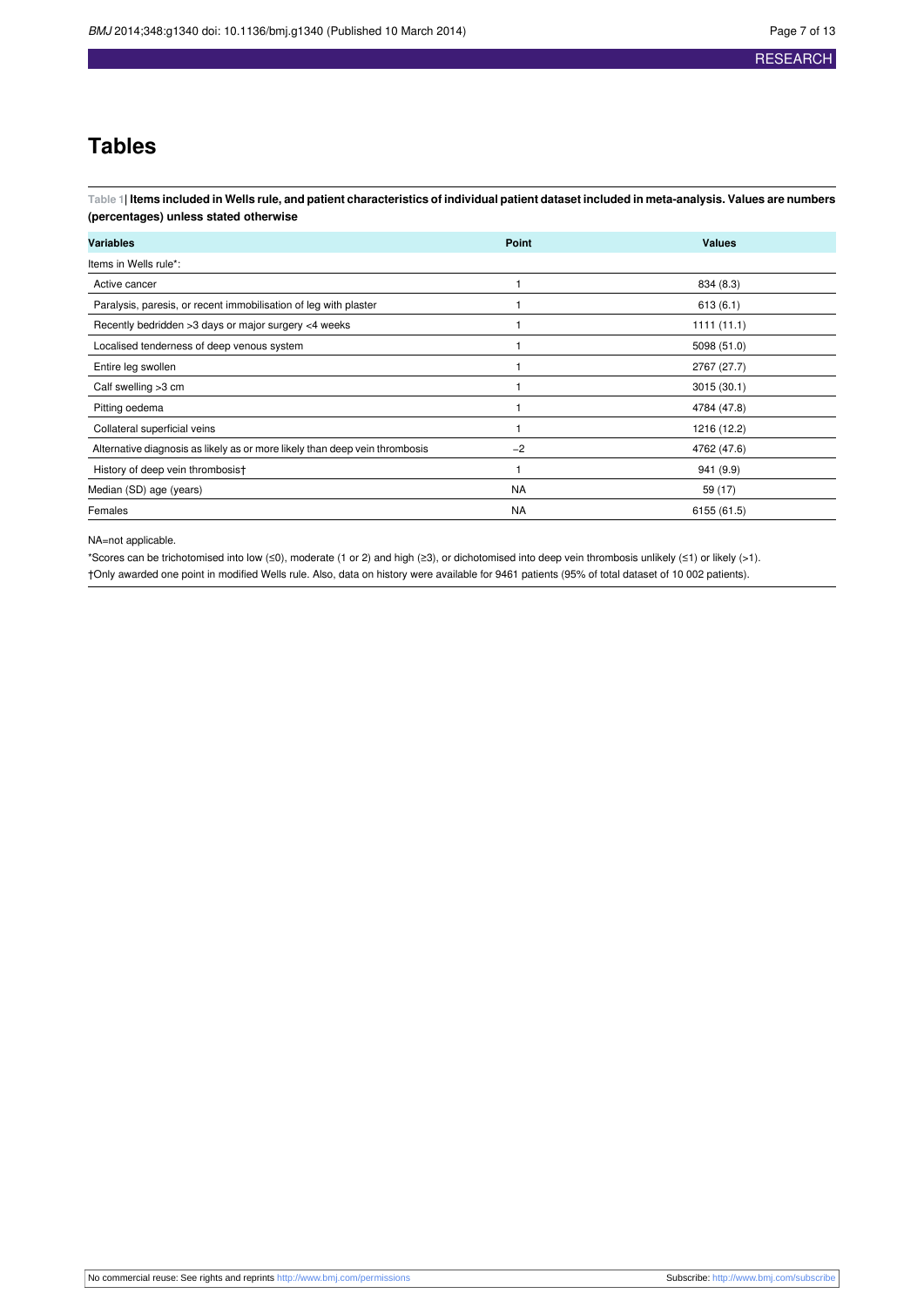### **Tables**

<span id="page-6-0"></span>Table 1| Items included in Wells rule, and patient characteristics of individual patient dataset included in meta-analysis. Values are numbers **(percentages) unless stated otherwise**

| <b>Variables</b>                                                            | Point     | <b>Values</b> |  |
|-----------------------------------------------------------------------------|-----------|---------------|--|
| Items in Wells rule*:                                                       |           |               |  |
| Active cancer                                                               |           | 834 (8.3)     |  |
| Paralysis, paresis, or recent immobilisation of leg with plaster            |           | 613(6.1)      |  |
| Recently bedridden >3 days or major surgery <4 weeks                        |           | 1111(11.1)    |  |
| Localised tenderness of deep venous system                                  |           | 5098 (51.0)   |  |
| Entire leg swollen                                                          |           | 2767 (27.7)   |  |
| Calf swelling >3 cm                                                         |           | 3015(30.1)    |  |
| Pitting oedema                                                              |           | 4784 (47.8)   |  |
| Collateral superficial veins                                                |           | 1216 (12.2)   |  |
| Alternative diagnosis as likely as or more likely than deep vein thrombosis | $-2$      | 4762 (47.6)   |  |
| History of deep vein thrombosist                                            |           | 941 (9.9)     |  |
| Median (SD) age (years)                                                     | <b>NA</b> | 59 (17)       |  |
| Females                                                                     | <b>NA</b> | 6155 (61.5)   |  |

NA=not applicable.

\*Scores can be trichotomised into low (≤0), moderate (1 or 2) and high (≥3), or dichotomised into deep vein thrombosis unlikely (≤1) or likely (>1). †Only awarded one point in modified Wells rule. Also, data on history were available for 9461 patients (95% of total dataset of 10 002 patients).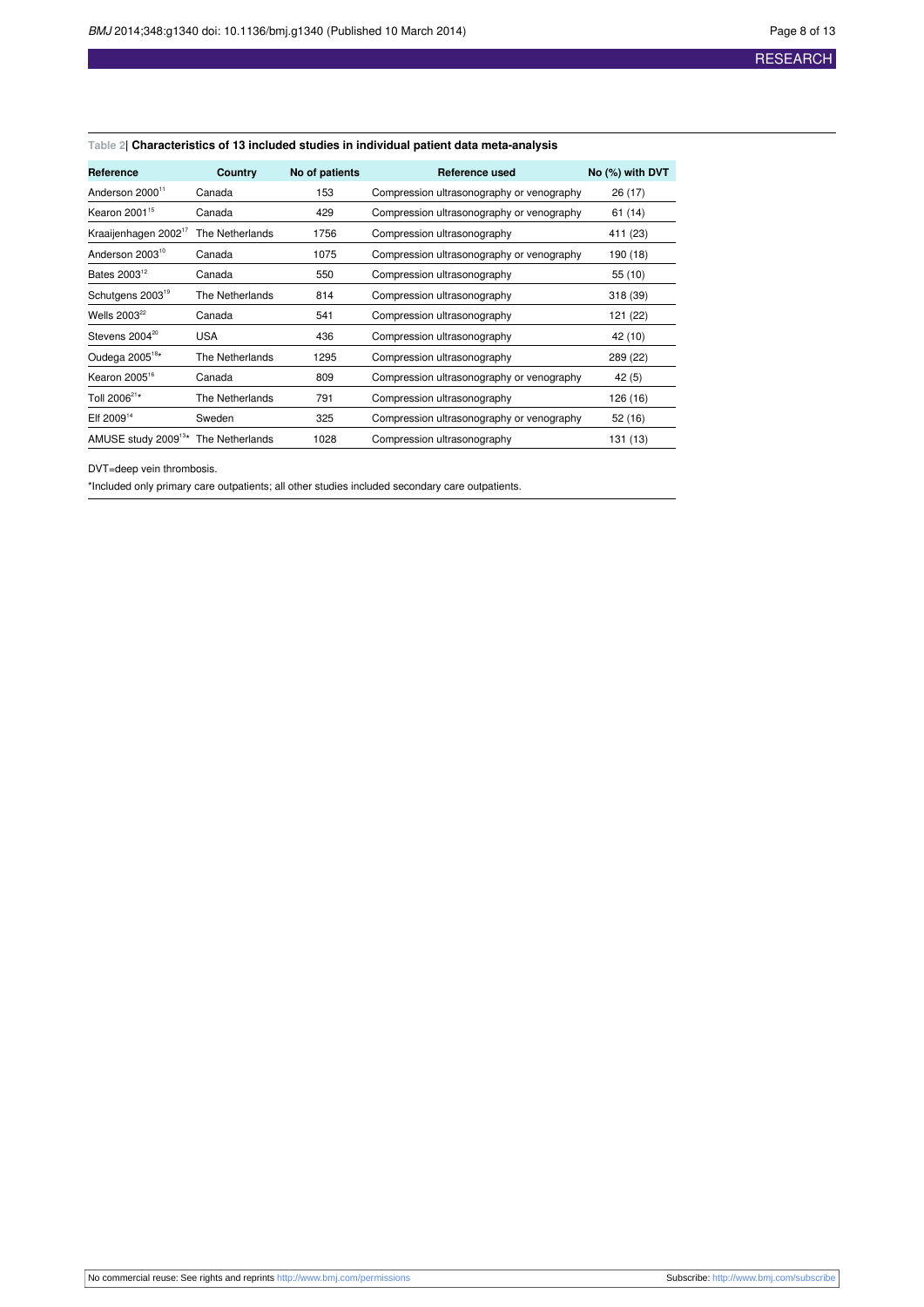#### <span id="page-7-0"></span>**Table 2| Characteristics of 13 included studies in individual patient data meta-analysis**

| <b>Reference</b>                 | Country         | No of patients | Reference used                            | No (%) with DVT |
|----------------------------------|-----------------|----------------|-------------------------------------------|-----------------|
| Anderson 2000 <sup>11</sup>      | Canada          | 153            | Compression ultrasonography or venography | 26 (17)         |
| Kearon 2001 <sup>15</sup>        | Canada          | 429            | Compression ultrasonography or venography | 61 (14)         |
| Kraaijenhagen 2002 <sup>1/</sup> | The Netherlands | 1756           | Compression ultrasonography               | 411 (23)        |
| Anderson 2003 <sup>10</sup>      | Canada          | 1075           | Compression ultrasonography or venography | 190 (18)        |
| Bates 2003 <sup>12</sup>         | Canada          | 550            | Compression ultrasonography               | 55 (10)         |
| Schutgens 2003 <sup>19</sup>     | The Netherlands | 814            | Compression ultrasonography               | 318 (39)        |
| Wells $2003^{22}$                | Canada          | 541            | Compression ultrasonography               | 121 (22)        |
| Stevens 2004 <sup>20</sup>       | <b>USA</b>      | 436            | Compression ultrasonography               | 42 (10)         |
| Oudega 2005 <sup>18*</sup>       | The Netherlands | 1295           | Compression ultrasonography               | 289 (22)        |
| Kearon 2005 <sup>16</sup>        | Canada          | 809            | Compression ultrasonography or venography | 42 (5)          |
| Toll 2006 <sup>21*</sup>         | The Netherlands | 791            | Compression ultrasonography               | 126 (16)        |
| Elf 2009 <sup>14</sup>           | Sweden          | 325            | Compression ultrasonography or venography | 52 (16)         |
| AMUSE study 2009 <sup>13*</sup>  | The Netherlands | 1028           | Compression ultrasonography               | 131 (13)        |

DVT=deep vein thrombosis.

\*Included only primary care outpatients; all other studies included secondary care outpatients.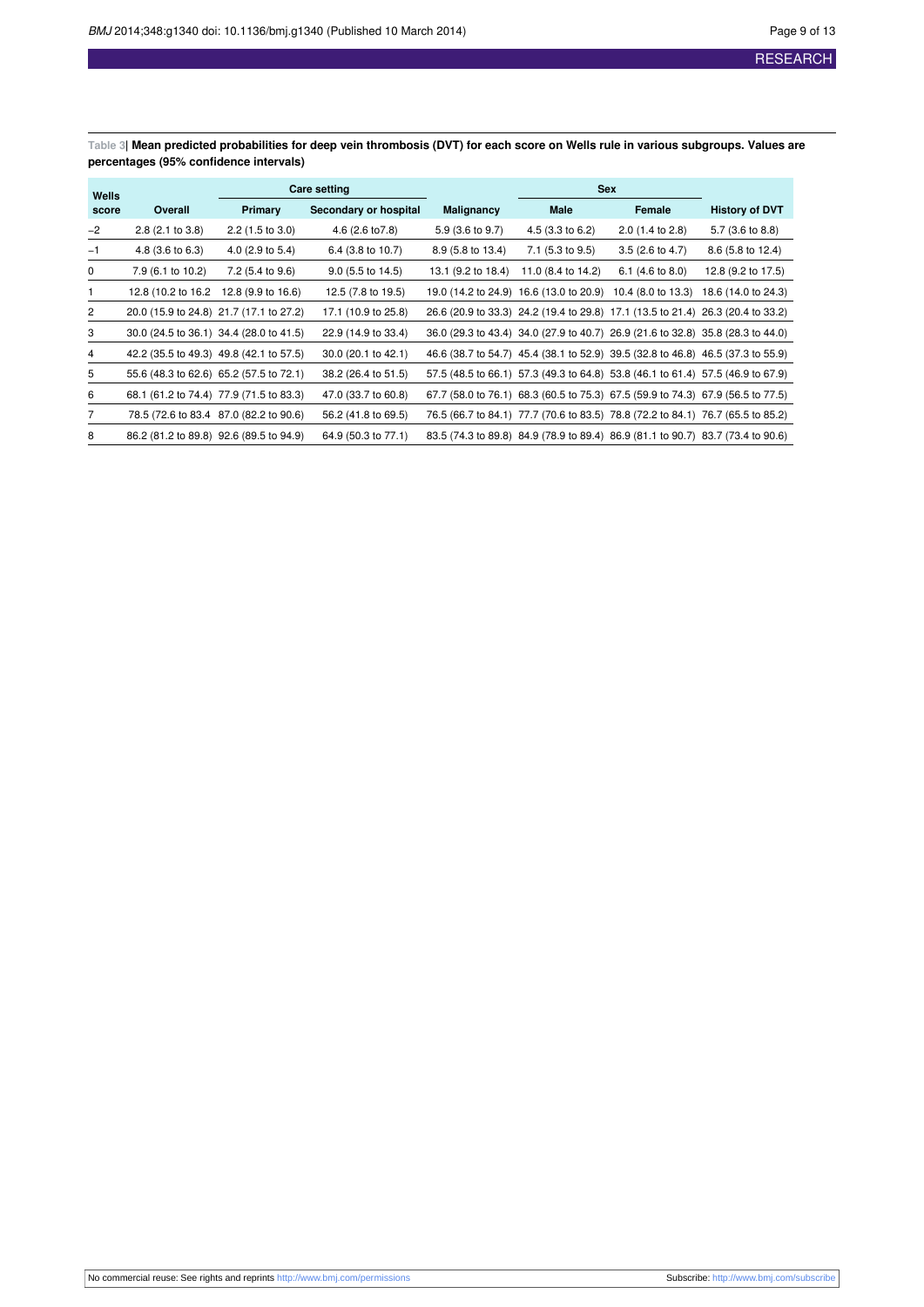<span id="page-8-0"></span>Table 3| Mean predicted probabilities for deep vein thrombosis (DVT) for each score on Wells rule in various subgroups. Values are **percentages (95% confidence intervals)**

| Wells | <b>Care setting</b>                     |                                         | <b>Sex</b>            |                    |                                                                                 |                             |                       |
|-------|-----------------------------------------|-----------------------------------------|-----------------------|--------------------|---------------------------------------------------------------------------------|-----------------------------|-----------------------|
| score | Overall                                 | <b>Primary</b>                          | Secondary or hospital | <b>Malignancy</b>  | Male                                                                            | Female                      | <b>History of DVT</b> |
| $-2$  | $2.8$ (2.1 to 3.8)                      | $2.2$ (1.5 to 3.0)                      | 4.6 (2.6 to 7.8)      | 5.9 (3.6 to 9.7)   | 4.5 (3.3 to 6.2)                                                                | $2.0$ (1.4 to 2.8)          | 5.7 (3.6 to 8.8)      |
| $-1$  | 4.8 (3.6 to 6.3)                        | 4.0 $(2.9 \text{ to } 5.4)$             | 6.4 (3.8 to 10.7)     | 8.9 (5.8 to 13.4)  | 7.1 (5.3 to 9.5)                                                                | $3.5(2.6 \text{ to } 4.7)$  | 8.6 (5.8 to 12.4)     |
| 0     | 7.9 (6.1 to 10.2)                       | 7.2 (5.4 to 9.6)                        | $9.0$ (5.5 to 14.5)   | 13.1 (9.2 to 18.4) | 11.0 (8.4 to 14.2)                                                              | 6.1 $(4.6 \text{ to } 8.0)$ | 12.8 (9.2 to 17.5)    |
| 1     | 12.8 (10.2 to 16.2)                     | 12.8 (9.9 to 16.6)                      | 12.5 (7.8 to 19.5)    |                    | 19.0 (14.2 to 24.9) 16.6 (13.0 to 20.9)                                         | 10.4 (8.0 to 13.3)          | 18.6 (14.0 to 24.3)   |
| 2     |                                         | 20.0 (15.9 to 24.8) 21.7 (17.1 to 27.2) | 17.1 (10.9 to 25.8)   |                    | 26.6 (20.9 to 33.3) 24.2 (19.4 to 29.8) 17.1 (13.5 to 21.4) 26.3 (20.4 to 33.2) |                             |                       |
| 3     | 30.0 (24.5 to 36.1) 34.4 (28.0 to 41.5) |                                         | 22.9 (14.9 to 33.4)   |                    | 36.0 (29.3 to 43.4) 34.0 (27.9 to 40.7) 26.9 (21.6 to 32.8) 35.8 (28.3 to 44.0) |                             |                       |
| 4     | 42.2 (35.5 to 49.3) 49.8 (42.1 to 57.5) |                                         | 30.0 (20.1 to 42.1)   |                    | 46.6 (38.7 to 54.7) 45.4 (38.1 to 52.9) 39.5 (32.8 to 46.8) 46.5 (37.3 to 55.9) |                             |                       |
| 5     | 55.6 (48.3 to 62.6) 65.2 (57.5 to 72.1) |                                         | 38.2 (26.4 to 51.5)   |                    | 57.5 (48.5 to 66.1) 57.3 (49.3 to 64.8) 53.8 (46.1 to 61.4) 57.5 (46.9 to 67.9) |                             |                       |
| 6     |                                         | 68.1 (61.2 to 74.4) 77.9 (71.5 to 83.3) | 47.0 (33.7 to 60.8)   |                    | 67.7 (58.0 to 76.1) 68.3 (60.5 to 75.3) 67.5 (59.9 to 74.3) 67.9 (56.5 to 77.5) |                             |                       |
| 7     |                                         | 78.5 (72.6 to 83.4 87.0 (82.2 to 90.6)  | 56.2 (41.8 to 69.5)   |                    | 76.5 (66.7 to 84.1) 77.7 (70.6 to 83.5) 78.8 (72.2 to 84.1) 76.7 (65.5 to 85.2) |                             |                       |
| 8     |                                         | 86.2 (81.2 to 89.8) 92.6 (89.5 to 94.9) | 64.9 (50.3 to 77.1)   |                    | 83.5 (74.3 to 89.8) 84.9 (78.9 to 89.4) 86.9 (81.1 to 90.7) 83.7 (73.4 to 90.6) |                             |                       |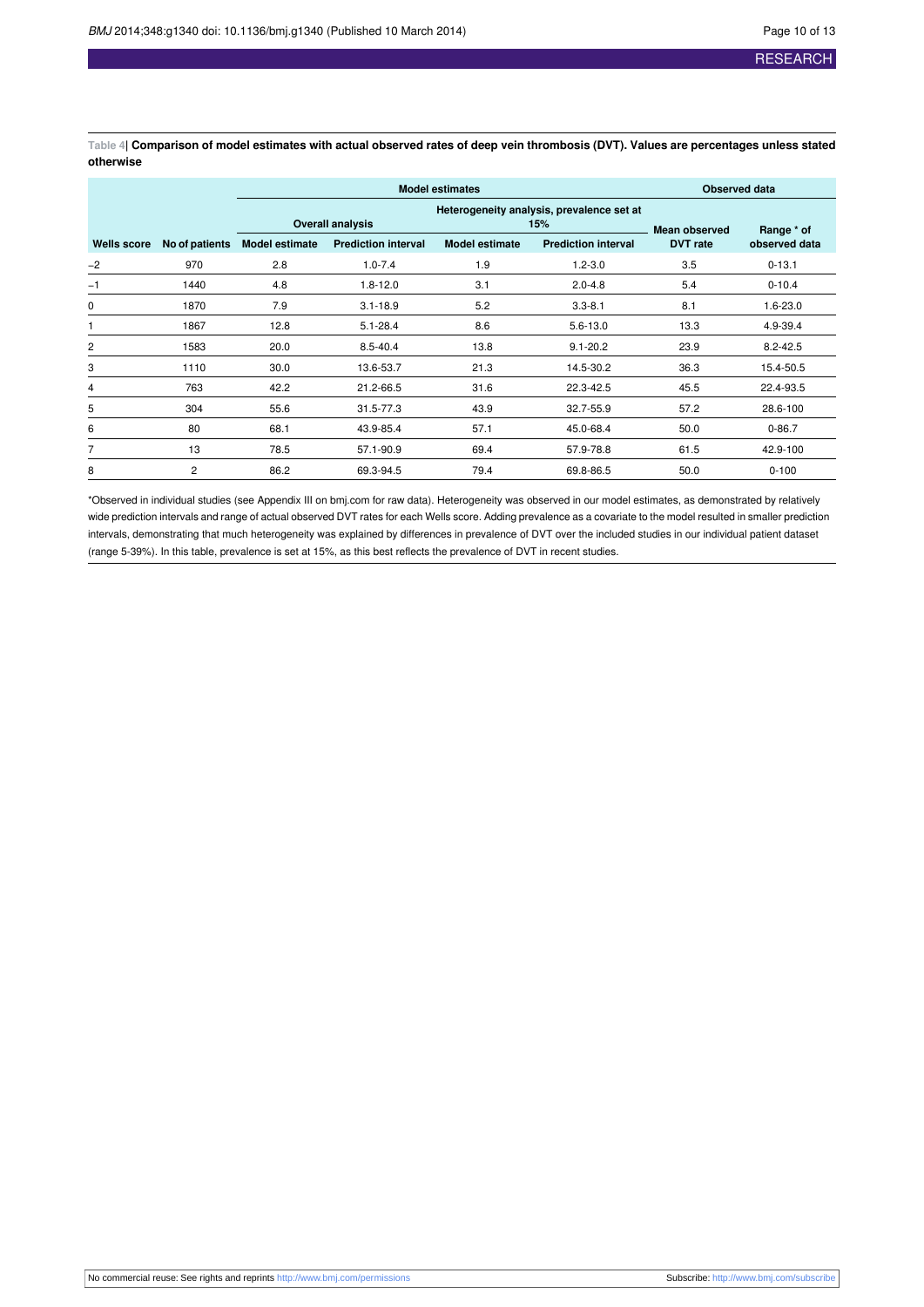<span id="page-9-0"></span>Table 4| Comparison of model estimates with actual observed rates of deep vein thrombosis (DVT). Values are percentages unless stated **otherwise**

|             |                                           |                         | <b>Model estimates</b>     | <b>Observed data</b>  |                            |                      |               |
|-------------|-------------------------------------------|-------------------------|----------------------------|-----------------------|----------------------------|----------------------|---------------|
|             | Heterogeneity analysis, prevalence set at |                         |                            |                       |                            |                      |               |
|             |                                           | <b>Overall analysis</b> |                            | 15%                   |                            | <b>Mean observed</b> | Range * of    |
| Wells score | No of patients                            | <b>Model estimate</b>   | <b>Prediction interval</b> | <b>Model estimate</b> | <b>Prediction interval</b> | <b>DVT</b> rate      | observed data |
| $-2$        | 970                                       | 2.8                     | $1.0 - 7.4$                | 1.9                   | $1.2 - 3.0$                | 3.5                  | $0 - 13.1$    |
| $-1$        | 1440                                      | 4.8                     | $1.8 - 12.0$               | 3.1                   | $2.0 - 4.8$                | 5.4                  | $0 - 10.4$    |
| 0           | 1870                                      | 7.9                     | $3.1 - 18.9$               | 5.2                   | $3.3 - 8.1$                | 8.1                  | $1.6 - 23.0$  |
|             | 1867                                      | 12.8                    | $5.1 - 28.4$               | 8.6                   | $5.6 - 13.0$               | 13.3                 | 4.9-39.4      |
| 2           | 1583                                      | 20.0                    | $8.5 - 40.4$               | 13.8                  | $9.1 - 20.2$               | 23.9                 | $8.2 - 42.5$  |
| 3           | 1110                                      | 30.0                    | 13.6-53.7                  | 21.3                  | 14.5-30.2                  | 36.3                 | 15.4-50.5     |
| 4           | 763                                       | 42.2                    | 21.2-66.5                  | 31.6                  | 22.3-42.5                  | 45.5                 | 22.4-93.5     |
| 5           | 304                                       | 55.6                    | 31.5-77.3                  | 43.9                  | 32.7-55.9                  | 57.2                 | 28.6-100      |
| 6           | 80                                        | 68.1                    | 43.9-85.4                  | 57.1                  | 45.0-68.4                  | 50.0                 | $0 - 86.7$    |
| 7           | 13                                        | 78.5                    | 57.1-90.9                  | 69.4                  | 57.9-78.8                  | 61.5                 | 42.9-100      |
| 8           | $\overline{2}$                            | 86.2                    | 69.3-94.5                  | 79.4                  | 69.8-86.5                  | 50.0                 | $0 - 100$     |

\*Observed in individual studies (see Appendix III on bmj.com for raw data). Heterogeneity was observed in our model estimates, as demonstrated by relatively wide prediction intervals and range of actual observed DVT rates for each Wells score. Adding prevalence as a covariate to the model resulted in smaller prediction intervals, demonstrating that much heterogeneity was explained by differences in prevalence of DVT over the included studies in our individual patient dataset (range 5-39%). In this table, prevalence is set at 15%, as this best reflects the prevalence of DVT in recent studies.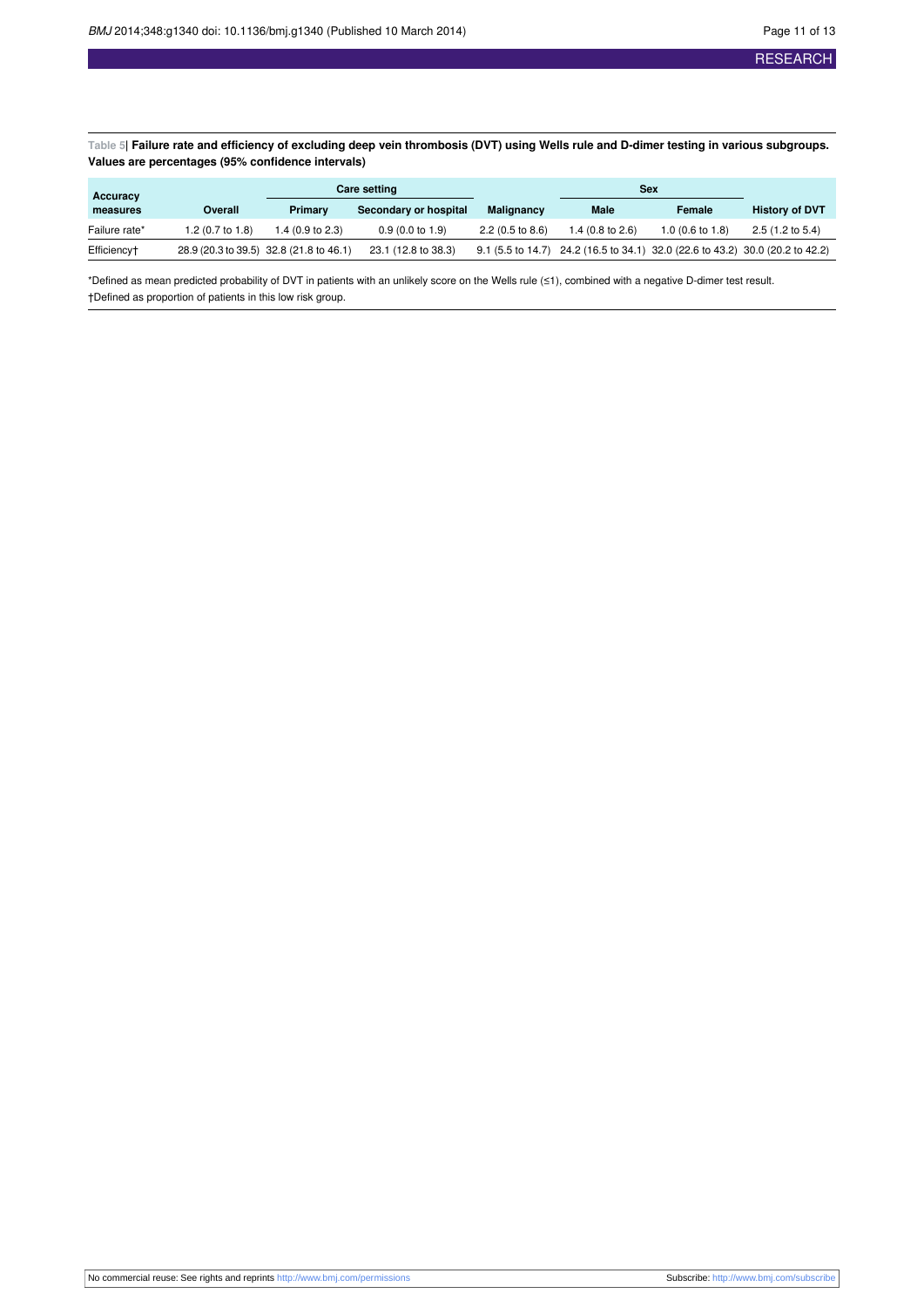<span id="page-10-0"></span>Table 5| Failure rate and efficiency of excluding deep vein thrombosis (DVT) using Wells rule and D-dimer testing in various subgroups. **Values are percentages (95% confidence intervals)**

| Accuracy      |                  |                                         | <b>Care setting</b>        |                            | Sex                                                                           |                            |                            |  |
|---------------|------------------|-----------------------------------------|----------------------------|----------------------------|-------------------------------------------------------------------------------|----------------------------|----------------------------|--|
| measures      | Overall          | Primary                                 | Secondary or hospital      | <b>Malignancy</b>          | Male                                                                          | Female                     | <b>History of DVT</b>      |  |
| Failure rate* | 1.2 (0.7 to 1.8) | $.4(0.9 \text{ to } 2.3)$               | $0.9(0.0 \text{ to } 1.9)$ | $2.2(0.5 \text{ to } 8.6)$ | 1.4 $(0.8 \text{ to } 2.6)$                                                   | $1.0(0.6 \text{ to } 1.8)$ | $2.5(1.2 \text{ to } 5.4)$ |  |
| Efficiency†   |                  | 28.9 (20.3 to 39.5) 32.8 (21.8 to 46.1) | 23.1 (12.8 to 38.3)        |                            | 9.1 (5.5 to 14.7) 24.2 (16.5 to 34.1) 32.0 (22.6 to 43.2) 30.0 (20.2 to 42.2) |                            |                            |  |

\*Defined as mean predicted probability of DVT in patients with an unlikely score on the Wells rule (≤1), combined with a negative D-dimer test result. †Defined as proportion of patients in this low risk group.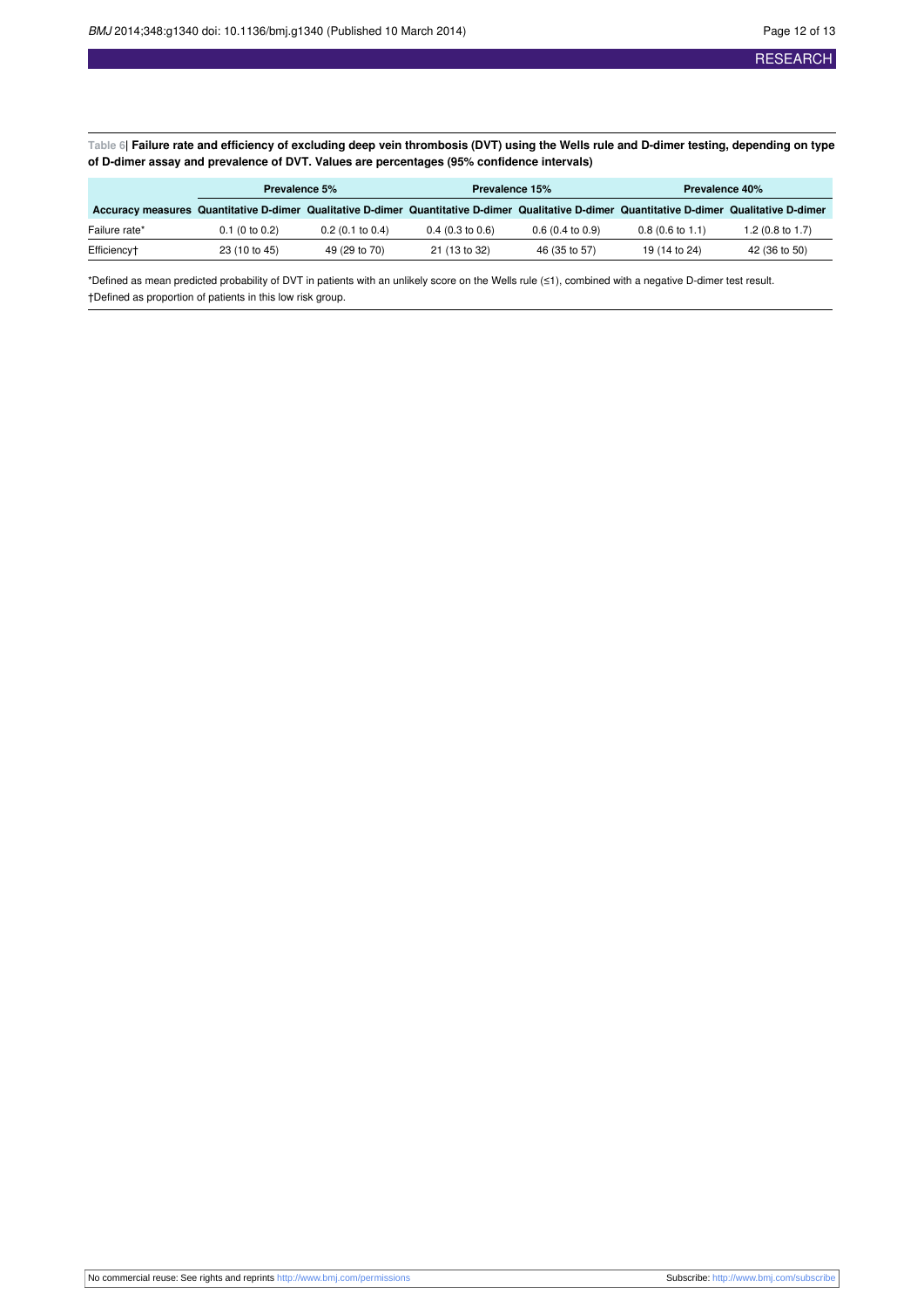<span id="page-11-0"></span>Table 6| Failure rate and efficiency of excluding deep vein thrombosis (DVT) using the Wells rule and D-dimer testing, depending on type **of D-dimer assay and prevalence of DVT. Values are percentages (95% confidence intervals)**

|               | Prevalence 5%    |                            | <b>Prevalence 15%</b>                                                                                                                        |                            | <b>Prevalence 40%</b>      |                             |
|---------------|------------------|----------------------------|----------------------------------------------------------------------------------------------------------------------------------------------|----------------------------|----------------------------|-----------------------------|
|               |                  |                            | Accuracy measures Quantitative D-dimer Qualitative D-dimer Quantitative D-dimer Qualitative D-dimer Quantitative D-dimer Qualitative D-dimer |                            |                            |                             |
| Failure rate* | $0.1$ (0 to 0.2) | $0.2(0.1 \text{ to } 0.4)$ | $0.4$ (0.3 to 0.6)                                                                                                                           | $0.6(0.4 \text{ to } 0.9)$ | $0.8(0.6 \text{ to } 1.1)$ | 1.2 $(0.8 \text{ to } 1.7)$ |
| Efficiency†   | 23 (10 to 45)    | 49 (29 to 70)              | 21 (13 to 32)                                                                                                                                | 46 (35 to 57)              | 19 (14 to 24)              | 42 (36 to 50)               |

\*Defined as mean predicted probability of DVT in patients with an unlikely score on the Wells rule (≤1), combined with a negative D-dimer test result. †Defined as proportion of patients in this low risk group.